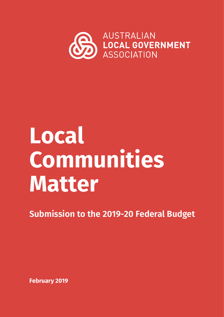

# **Local Communities Matter**

**Submission to the 2019-20 Federal Budget**

**February 2019**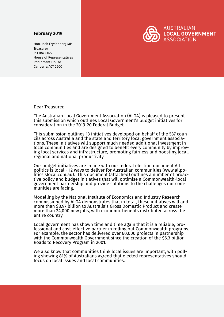#### February 2019

Hon. Josh Frydenberg MP Treasurer PO Box 6022 House of Representatives Parliament House Canberra ACT 2600



Dear Treasurer,

The Australian Local Government Association (ALGA) is pleased to present this submission which outlines Local Government's budget initiatives for consideration in the 2019-20 Federal Budget.

This submission outlines 13 initiatives developed on behalf of the 537 councils across Australia and the state and territory local government associations. These initiatives will support much needed additional investment in local communities and are designed to benefit every community by improving local services and infrastructure, promoting fairness and boosting local, regional and national productivity.

Our budget initiatives are in line with our federal election document All politics is local - 12 ways to deliver for Australian communities (www.allpotive policy and budget initiatives that will optimise a Commonwealth-local government partnership and provide solutions to the challenges our com- munities are facing.

Modelling by the National Institute of Economics and Industry Research commissioned by ALGA demonstrates that in total, these initiatives will add more than \$8.97 billion to Australia's Gross Domestic Product and create more than 24,000 new jobs, with economic benefits distributed across the entire country.

Local government has shown time and time again that it is a reliable, pro- fessional and cost-effective partner in rolling out Commonwealth programs. For example, the sector has delivered over 60,000 projects in partnership with the Commonwealth Government since the creation of the \$6.3 billion Roads to Recovery Program in 2001.

We also know that communities think local issues are important, with polling showing 81% of Australians agreed that elected representatives should focus on local issues and local communities.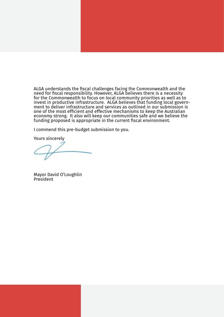ALGA understands the fiscal challenges facing the Commonwealth and the need for fiscal responsibility. However, ALGA believes there is a necessity for the Commonwealth to focus on local community priorities as well as to invest in productive infrastructure. ALGA believes that funding local government to deliver infrastructure and services as outlined in our submission is one of the most efficient and effective mechanisms to keep the Australian economy strong. It also will keep our communities safe and we believe the funding proposed is appropriate in the current fiscal environment.

I commend this pre-budget submission to you.

Yours sincerely

Mayor David O'Loughlin President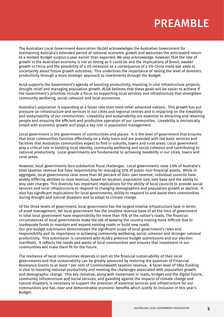# PREAMBLE

The Australian Local Government Association (ALGA) acknowledges the Australian Government for maintaining Australia's extended period of national economic growth and welcomes the anticipated return to a modest Budget surplus a year earlier than expected. We also acknowledge, however, that the rate of growth in the Australian economy is not as strong as it could be and the implications of Brexit, weaker growth in China and the possibility of a US recession as a consequence of a US-China trade war adds to uncertainty about future growth outcomes. This underlines the importance of raising the level of domestic productivity through a more strategic approach to investments through the Budget.

ALGA supports the Government's agenda of boosting productivity, investing in vital infrastructure projects, drought relief and managing population growth. ALGA believes that these goals will be easier to achieve if the Government's priorities include a focus on supporting local services and infrastructure that strengthen community wellbeing, social cohesion and local economies.

Australia's population is expanding at a faster rate than most other advanced nations. This growth has put pressure on infrastructure and services in our cities and regional centres and is impacting on the liveability and sustainability of our communities. Liveability and sustainability are essential to attracting and retaining people and ensuring the efficient and productive operation of our communities. Liveability is intrinsically linked with economic growth and plays a key role in population management.

Local government is the government of communities and places. It is the level of government that ensures that local communities function effectively on a daily basis and are provided with the basic services and facilities that Australian communities expect to find in suburbs, towns and rural areas. Local government play a critical role in building local identity, community wellbeing and social cohesion and contributing to national productivity. Local governments are fundamental to achieving liveability in our cities, towns and rural areas.

However, local governments face substantial fiscal challenges. Local governments raise 3.6% of Australia's total taxation revenue but have responsibility for managing 33% of public non-financial assets. While in aggregate, local governments raise more than 80 percent of their own revenue, individual councils have widely differing abilities to raise revenue, based on location, population size, rate base and the ability to levy user charges. This diversity has important implications for the ability of local councils to provide social services and local infrastructure to respond to changing demographics and population growth or decline. It also has significant implications for local governments, ability to respond to and assist their communities during drought and natural disasters and to adapt to climate change.

Of the three levels of government, local government has the largest relative infrastructure task in terms of asset management. Yet local government has the smallest revenue base of all the tiers of government In total local government have responsibility for more than 75% of the nation's roads. The financial circumstances of local governments make the job of keeping the country moving more difficult due to inadequate funds to maintain and expand existing roads or build new roads. Our pre-budget submission demonstrates the significant scope of local government's roles and responsibility and its importance in achieving community wellbeing, social cohesion and stronger national productivity. This submission is consistent with ALGA's previous budget submissions and our election manifesto. It reflects the needs and wants of local communities and ensures that investment in our communities will make them fit for the future.

The resilience of local communities depends in part on the financial sustainability of their local governments and that sustainability can be greatly advanced by restoring the quantum of Financial Assistance Grants to at least 1 per cent of Commonwealth taxation revenue. A fairer level of FAGs funding is vital to boosting national productivity and meeting the challenges associated with population growth and demographic change. This key initiative, along with investment in roads, bridges and the digital future, community infrastructure and social services, and guarding against the impacts of climate change and natural disasters, is necessary to support the provision of essential services and infrastructure for our communities and has clear and demonstrable economic benefits which justify its inclusion in this year's Budget.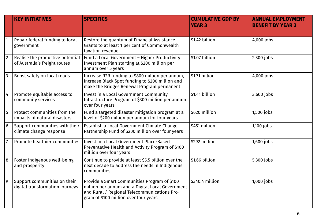|                 | <b>KEY INITIATIVES</b>                                            | <b>SPECIFICS</b>                                                                                                                                                                          | <b>CUMULATIVE GDP BY</b><br><b>YEAR 3</b> | <b>ANNUAL EMPLOYMENT</b><br><b>BENEFIT BY YEAR 3</b> |
|-----------------|-------------------------------------------------------------------|-------------------------------------------------------------------------------------------------------------------------------------------------------------------------------------------|-------------------------------------------|------------------------------------------------------|
|                 | Repair federal funding to local<br>government                     | Restore the quantum of Financial Assistance<br>Grants to at least 1 per cent of Commonwealth<br>taxation revenue                                                                          | \$1.42 billion                            | 4,000 jobs                                           |
| $\overline{2}$  | Realise the productive potential<br>of Australia's freight routes | Fund a Local Government - Higher Productivity<br>Investment Plan starting at \$200 million per<br>annum over 5 years                                                                      | \$1.07 billion                            | 2,300 jobs                                           |
| $\overline{3}$  | Boost safety on local roads                                       | Increase R2R funding to \$800 million per annum,<br>increase Black Spot funding to \$200 million and<br>make the Bridges Renewal Program permanent                                        | \$1.71 billion                            | 4,000 jobs                                           |
| $\overline{4}$  | Promote equitable access to<br>community services                 | Invest in a Local Government Community<br>Infrastructure Program of \$300 million per annum<br>over four years                                                                            | \$1.41 billion                            | 3,600 jobs                                           |
| 5               | Protect communities from the<br>impacts of natural disasters      | Fund a targeted disaster mitigation program at a<br>level of \$200 million per annum for four years                                                                                       | \$620 million                             | 1,500 jobs                                           |
| $6\phantom{1}6$ | Support communities with their<br>climate change response         | Establish a Local Government Climate Change<br>Partnership Fund of \$200 million over four years                                                                                          | \$451 million                             | 1,100 jobs                                           |
| $\overline{7}$  | Promote healthier communities                                     | <b>Invest in a Local Government Place-Based</b><br>Preventative Health and Activity Program of \$100<br>million over four years                                                           | \$292 million                             | 1,600 jobs                                           |
| 8               | Foster Indigenous well-being<br>and prosperity                    | Continue to provide at least \$5.5 billion over the<br>next decade to address the needs in Indigenous<br>communities                                                                      | \$1.66 billion                            | 5,300 jobs                                           |
| $\overline{9}$  | Support communities on their<br>digital transformation journeys   | Provide a Smart Communities Program of \$100<br>million per annum and a Digital Local Government<br>and Rural / Regional Telecommunications Pro-<br>gram of \$100 million over four years | \$340.4 million                           | 1,000 jobs                                           |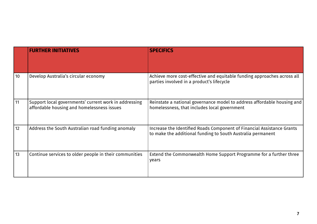|    | <b>FURTHER INITIATIVES</b>                                                                          | <b>SPECIFICS</b>                                                                                                                      |
|----|-----------------------------------------------------------------------------------------------------|---------------------------------------------------------------------------------------------------------------------------------------|
| 10 | Develop Australia's circular economy                                                                | Achieve more cost-effective and equitable funding approaches across all<br>parties involved in a product's lifecycle                  |
| 11 | Support local governments' current work in addressing<br>affordable housing and homelessness issues | Reinstate a national governance model to address affordable housing and<br>homelessness, that includes local government               |
| 12 | Address the South Australian road funding anomaly                                                   | Increase the Identified Roads Component of Financial Assistance Grants<br>to make the additional funding to South Australia permanent |
| 13 | Continue services to older people in their communities                                              | Extend the Commonwealth Home Support Programme for a further three<br>years                                                           |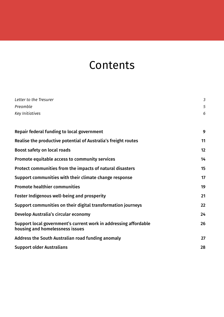# **Contents**

| Letter to the Tresurer                                                                              | $\mathfrak{Z}$ |
|-----------------------------------------------------------------------------------------------------|----------------|
| Preamble                                                                                            | 5              |
| <b>Key Initiatives</b>                                                                              | 6              |
| Repair federal funding to local government                                                          | 9              |
| Realise the productive potential of Australia's freight routes                                      | 11             |
| <b>Boost safety on local roads</b>                                                                  | 12             |
| <b>Promote equitable access to community services</b>                                               | 14             |
| Protect communities from the impacts of natural disasters                                           | 15             |
| Support communities with their climate change response                                              | 17             |
| <b>Promote healthier communities</b>                                                                | 19             |
| <b>Foster Indigenous well-being and prosperity</b>                                                  | 21             |
| Support communities on their digital transformation journeys                                        | 22             |
| Develop Australia's circular economy                                                                | 24             |
| Support local government's current work in addressing affordable<br>housing and homelessness issues | 26             |
| Address the South Australian road funding anomaly                                                   | 27             |
| <b>Support older Australians</b>                                                                    | 28             |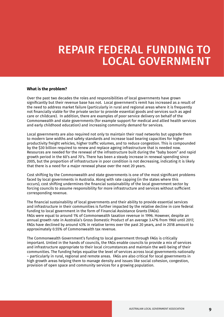### REPAIR FEDERAL FUNDING TO LOCAL GOVERNMENT

#### **What is the problem?**

Over the past two decades the roles and responsibilities of local governments have grown significantly but their revenue base has not. Local government's remit has increased as a result of the need to address market failure (particularly in rural and regional areas where it is frequently not financially viable for the private sector to provide essential goods and services such as aged care or childcare). In addition, there are examples of poor service delivery on behalf of the Commonwealth and state governments (for example support for medical and allied health services and early childhood education) and increasing community demand for services.

Local governments are also required not only to maintain their road networks but upgrade them to modern lane widths and safety standards and increase load bearing capacities for higher productivity freight vehicles, higher traffic volumes, and to reduce congestion. This is compounded by the \$30 billion required to renew and replace ageing infrastructure that is needed now. Resources are needed for the renewal of the infrastructure built during the "baby boom" and rapid growth period in the 60's and 70's. There has been a steady increase in renewal spending since 2005, but the proportion of infrastructure in poor condition is not decreasing, indicating it is likely that there is a need for a major renewal phase over the next 20 years.

Cost shifting by the Commonwealth and state governments is one of the most significant problems faced by local governments in Australia. Along with rate capping (in the states where this occurs), cost shifting undermines the financial sustainability of the local government sector by forcing councils to assume responsibility for more infrastructure and services without sufficient corresponding revenue.

The financial sustainability of local governments and their ability to provide essential services and infrastructure in their communities is further impacted by the relative decline in core federal funding to local government in the form of Financial Assistance Grants (FAGs). FAGs were equal to around 1% of Commonwealth taxation revenue in 1996. However, despite an annual growth rate in Australia's Gross Domestic Product of an average 3.47% from 1960 until 2017, FAGs have declined by around 43% in relative terms over the past 20 years, and in 2018 amount to approximately 0.55% of Commonwealth tax revenue.

The Commonwealth Government's funding to local government through FAGs is critically important. Untied in the hands of councils, the FAGs enable councils to provide a mix of services and infrastructure appropriate to their local circumstances and maintain the well-being of their communities. The funding helps equalise the level of services across local governments nationally – particularly in rural, regional and remote areas. FAGs are also critical for local governments in high growth areas helping them to manage density and issues like social cohesion, congestion, provision of open space and community services for a growing population.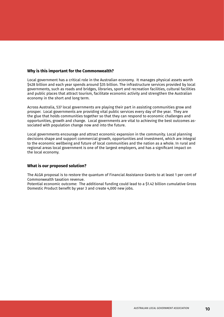#### **Why is this important for the Commonwealth?**

Local government has a critical role in the Australian economy. It manages physical assets worth \$428 billion and each year spends around \$35 billion. The infrastructure services provided by local governments, such as roads and bridges, libraries, sport and recreation facilities, cultural facilities and public places that attract tourism, facilitate economic activity and strengthen the Australian economy in the short and long term.

Across Australia, 537 local governments are playing their part in assisting communities grow and prosper. Local governments are providing vital public services every day of the year. They are the glue that holds communities together so that they can respond to economic challenges and opportunities, growth and change. Local governments are vital to achieving the best outcomes associated with population change now and into the future.

Local governments encourage and attract economic expansion in the community. Local planning decisions shape and support commercial growth, opportunities and investment, which are integral to the economic wellbeing and future of local communities and the nation as a whole. In rural and regional areas local government is one of the largest employers, and has a significant impact on the local economy.

#### **What is our proposed solution?**

The ALGA proposal is to restore the quantum of Financial Assistance Grants to at least 1 per cent of Commonwealth taxation revenue.

Potential economic outcome: The additional funding could lead to a \$1.42 billion cumulative Gross Domestic Product benefit by year 3 and create 4,000 new jobs.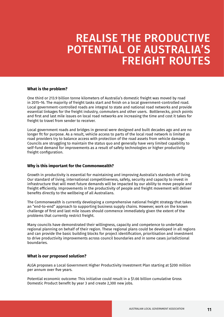# REALISE THE PRODUCTIVE POTENTIAL OF AUSTRALIA'S FREIGHT ROUTES

#### **What is the problem?**

One third or 213.9 billion tonne kilometers of Australia's domestic freight was moved by road in 2015–16. The majority of freight tasks start and finish on a local government-controlled road. Local government-controlled roads are integral to state and national road networks and provide essential linkages for the freight industry, commuters and other users. Bottlenecks, pinch points and first and last mile issues on local road networks are increasing the time and cost it takes for freight to travel from sender to receiver.

Local government roads and bridges in general were designed and built decades ago and are no longer fit for purpose. As a result, vehicle access to parts of the local road network is limited as road providers try to balance access with protection of the road assets from vehicle damage. Councils are struggling to maintain the status quo and generally have very limited capability to self-fund demand for improvements as a result of safety technologies or higher productivity freight configuration.

#### **Why is this important for the Commonwealth?**

Growth in productivity is essential for maintaining and improving Australia's standards of living. Our standard of living, international competitiveness, safety, security and capacity to invest in infrastructure that will meet future demands will be impacted by our ability to move people and freight efficiently. Improvements in the productivity of people and freight movement will deliver benefits directly to the wellbeing of all Australians.

The Commonwealth is currently developing a comprehensive national freight strategy that takes an "end-to-end" approach to supporting business supply chains. However, work on the known challenge of first and last mile issues should commence immediately given the extent of the problems that currently restrict freight.

Many councils have demonstrated their willingness, capacity and competence to undertake regional planning on behalf of their region. These regional plans could be developed in all regions and can provide the basic building blocks for project identification, prioritisation and investment to drive productivity improvements across council boundaries and in some cases jurisdictional boundaries.

#### **What is our proposed solution?**

ALGA proposes a Local Government Higher Productivity Investment Plan starting at \$200 million per annum over five years.

Potential economic outcome: This initiative could result in a \$1.66 billion cumulative Gross Domestic Product benefit by year 3 and create 2,300 new jobs.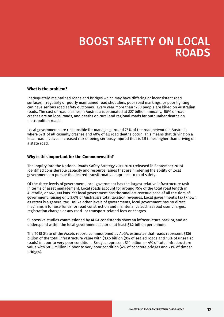### BOOST SAFETY ON LOCAL ROADS

#### **What is the problem?**

Inadequately-maintained roads and bridges which may have differing or inconsistent road surfaces, irregularly or poorly maintained road shoulders, poor road markings, or poor lighting can have serious road safety outcomes. Every year more than 1200 people are killed on Australian roads. The cost of road crashes in Australia is estimated at \$27 billion annually. 50% of road crashes are on local roads, and deaths on rural and regional roads far outnumber deaths on metropolitan roads.

Local governments are responsible for managing around 75% of the road network in Australia where 52% of all casualty crashes and 40% of all road deaths occur. This means that driving on a local road involves increased risk of being seriously injured that is 1.5 times higher than driving on a state road.

#### **Why is this important for the Commonwealth?**

The Inquiry into the National Roads Safety Strategy 2011-2020 (released in September 2018) identified considerable capacity and resource issues that are hindering the ability of local governments to pursue the desired transformative approach to road safety.

Of the three levels of government, local government has the largest relative infrastructure task in terms of asset management. Local roads account for around 75% of the total road length in Australia, or 662,000 kms. Yet local government has the smallest revenue base of all the tiers of government, raising only 3.6% of Australia's total taxation revenues. Local government's tax (known as rates) is a general tax. Unlike other levels of governments, local government has no direct mechanism to raise funds for road construction and maintenance such as road user charges, registration charges or any road- or transport-related fees or charges.

Successive studies commissioned by ALGA consistently show an infrastructure backlog and an underspend within the local government sector of at least \$1.2 billion per annum.

The 2018 State of the Assets report, commissioned by ALGA, estimates that roads represent \$136 billion of the total infrastructure value with \$13.6 billion (9% of sealed roads and 16% of unsealed roads) in poor to very poor condition. Bridges represent \$14 billion or 4% of total infrastructure value with \$813 million in poor to very poor condition (4% of concrete bridges and 21% of timber bridges).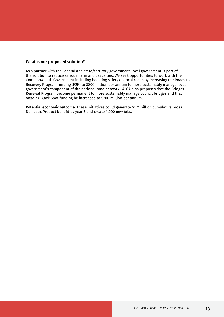As a partner with the Federal and state/territory government, local government is part of the solution to reduce serious harm and casualties. We seek opportunities to work with the Commonwealth Government including boosting safety on local roads by increasing the Roads to Recovery Program funding (R2R) to \$800 million per annum to more sustainably manage local government's component of the national road network. ALGA also proposes that the Bridges Renewal Program become permanent to more sustainably manage council bridges and that ongoing Black Spot funding be increased to \$200 million per annum.

**Potential economic outcome:** These initiatives could generate \$1.71 billion cumulative Gross Domestic Product benefit by year 3 and create 4,000 new jobs.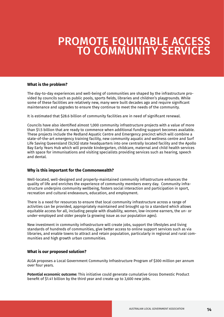### PROMOTE EQUITABLE ACCESS TO COMMUNITY SERVICES

#### **What is the problem?**

The day-to-day experiences and well-being of communities are shaped by the infrastructure provided by councils such as public pools, sports fields, libraries and children's playgrounds. While some of these facilities are relatively new, many were built decades ago and require significant maintenance and upgrades to ensure they continue to meet the needs of the community.

It is estimated that \$28.6 billion of community facilities are in need of significant renewal.

Councils have also identified almost 1,000 community infrastructure projects with a value of more than \$1.5 billion that are ready to commence when additional funding support becomes available. These projects include the Redland Aquatic Centre and Emergency precinct which will combine a state-of-the-art emergency training facility, new community aquatic and wellness centre and Surf Life Saving Queensland (SLSQ) state headquarters into one centrally located facility and the Apollo Bay Early Years Hub which will provide kindergarten, childcare, maternal and child health services with space for immunisations and visiting specialists providing services such as hearing, speech and dental.

#### **Why is this important for the Commonwealth?**

Well-located, well-designed and properly-maintained community infrastructure enhances the quality of life and enriches the experience of community members every day. Community infrastructure underpins community wellbeing, fosters social interaction and participation in sport, recreation and cultural endeavours, education, and employment.

There is a need for resources to ensure that local community infrastructure across a range of activities can be provided, appropriately maintained and brought up to a standard which allows equitable access for all, including people with disability, women, low-income earners, the un- or under-employed and older people (a growing issue as our population ages).

New investment in community infrastructure will create jobs, support the lifestyles and living standards of hundreds of communities, give better access to online support services such as via libraries, and enable towns to attract and retain population, particularly in regional and rural communities and high growth urban communities.

#### **What is our proposed solution?**

ALGA proposes a Local Government Community Infrastructure Program of \$300 million per annum over four years.

**Potential economic outcome:** This initiative could generate cumulative Gross Domestic Product benefit of \$1.41 billion by the third year and create up to 3,600 new jobs.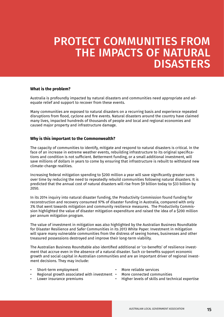# PROTECT COMMUNITIES FROM THE IMPACTS OF NATURAL **DISASTERS**

#### **What is the problem?**

Australia is profoundly impacted by natural disasters and communities need appropriate and adequate relief and support to recover from these events.

Many communities are exposed to natural disasters on a recurring basis and experience repeated disruptions from flood, cyclone and fire events. Natural disasters around the country have claimed many lives, impacted hundreds of thousands of people and local and regional economies and caused major property and infrastructure damage.

#### **Why is this important to the Commonwealth?**

The capacity of communities to identify, mitigate and respond to natural disasters is critical. In the face of an increase in extreme weather events, rebuilding infrastructure to its original specifications and condition is not sufficient. Betterment funding, or a small additional investment, will save millions of dollars in years to come by ensuring that infrastructure is rebuilt to withstand new climate-change realities.

Increasing federal mitigation spending to \$200 million a year will save significantly greater sums over time by reducing the need to repeatedly rebuild communities following natural disasters. It is predicted that the annual cost of natural disasters will rise from \$9 billion today to \$33 billion by  $2050.$ 

In its 2014 inquiry into natural disaster funding, the Productivity Commission found funding for reconstruction and recovery consumed 97% of disaster funding in Australia, compared with only 3% that went towards mitigation and community resilience measures. The Productivity Commission highlighted the value of disaster mitigation expenditure and raised the idea of a \$200 million per annum mitigation program.

The value of investment in mitigation was also highlighted by the Australian Business Roundtable for Disaster Resilience and Safer Communities in its 2013 White Paper. Investment in mitigation will spare many vulnerable communities from the distress of seeing homes, businesses and other treasured possessions destroyed and improve their long-term viability.

The Australian Business Roundtable also identified additional or 'co-benefits' of resilience investment that accrue even in the absence of a natural disaster. Such co-benefits support economic growth and social capital in Australian communities and are an important driver of regional investment decisions. They may include:

- Short-term employment More reliable services
	-
- Regional growth associated with investment More connected communities<br>Lower insurance premiums Higher levels of skills and tech
- 
- 
- 
- Higher levels of skills and technical expertise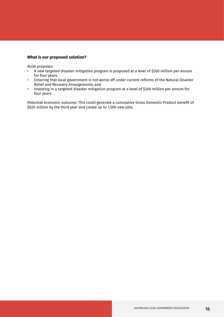ALGA proposes:

- A new targeted disaster mitigation program is proposed at a level of \$200 million per annum for four years.
- Ensuring that local government is not worse off under current reforms of the Natural Disaster Relief and Recovery Arrangements; and
- Investing in a targeted disaster mitigation program at a level of \$200 million per annum for four years.

Potential economic outcome: This could generate a cumulative Gross Domestic Product benefit of \$620 million by the third year and create up to 1,500 new jobs.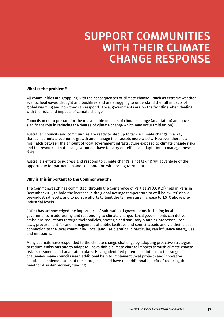### SUPPORT COMMUNITIES WITH THEIR CLIMATE CHANGE RESPONSE

#### **What is the problem?**

All communities are grappling with the consequences of climate change – such as extreme weather events, heatwaves, drought and bushfires and are struggling to understand the full impacts of global warming and how they can respond. Local governments are on the frontline when dealing with the risks and impacts of climate change.

Councils need to prepare for the unavoidable impacts of climate change (adaptation) and have a significant role in reducing the degree of climate change which may occur (mitigation).

Australian councils and communities are ready to step up to tackle climate change in a way that can stimulate economic growth and manage their assets more wisely. However, there is a mismatch between the amount of local government infrastructure exposed to climate change risks and the resources that local government have to carry out effective adaptation to manage these risks.

Australia's efforts to address and respond to climate change is not taking full advantage of the opportunity for partnership and collaboration with local government.

#### **Why is this important to the Commonwealth?**

The Commonwealth has committed, through the Conference of Parties 21 (COP 21) held in Paris in December 2015, to hold the increase in the global average temperature to well below 2°C above pre-industrial levels, and to pursue efforts to limit the temperature increase to 1.5°C above preindustrial levels.

COP21 has acknowledged the importance of sub-national governments including local governments in addressing and responding to climate change. Local governments can deliver emissions reductions through their policies, strategic and statutory planning processes, local laws, procurement for and management of public facilities and council assets and via their close connection to the local community. Local land use planning in particular, can influence energy use and emissions.

Many councils have responded to the climate change challenge by adopting proactive strategies to reduce emissions and to adapt to unavoidable climate change impacts through climate change risk assessments and adaptation plans. Having identified potential solutions to the range of challenges, many councils need additional help to implement local projects and innovative solutions. Implementation of these projects could have the additional benefit of reducing the need for disaster recovery funding.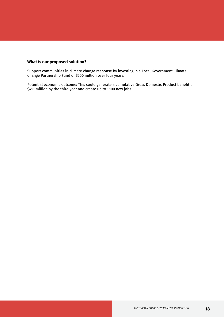Support communities in climate change response by investing in a Local Government Climate Change Partnership Fund of \$200 million over four years.

Potential economic outcome: This could generate a cumulative Gross Domestic Product benefit of \$451 million by the third year and create up to 1,100 new jobs.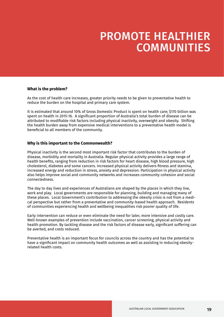### PROMOTE HEALTHIER **COMMUNITIES**

#### **What is the problem?**

As the cost of health care increases, greater priority needs to be given to preventative health to reduce the burden on the hospital and primary care system.

It is estimated that around 10% of Gross Domestic Product is spent on health care; \$170 billion was spent on health in 2015-16. A significant proportion of Australia's total burden of disease can be attributed to modifiable risk factors including physical inactivity, overweight and obesity. Shifting the health burden away from expensive medical interventions to a preventative health model is beneficial to all members of the community.

#### **Why is this important to the Commonwealth?**

Physical inactivity is the second most important risk factor that contributes to the burden of disease, morbidity and mortality in Australia. Regular physical activity provides a large range of health benefits, ranging from reduction in risk factors for heart disease, high blood pressure, high cholesterol, diabetes and some cancers. Increased physical activity delivers fitness and stamina, increased energy and reduction in stress, anxiety and depression. Participation in physical activity also helps improve social and community networks and increases community cohesion and social connectedness.

The day to day lives and experiences of Australians are shaped by the places in which they live, work and play. Local governments are responsible for planning, building and managing many of these places. Local Government's contribution to addressing the obesity crisis is not from a medical perspective but rather from a preventative and community-based health approach. Residents of communities experiencing health and wellbeing inequalities risk poorer quality of life.

Early intervention can reduce or even eliminate the need for later, more intensive and costly care. Well-known examples of prevention include vaccination, cancer screening, physical activity and health promotion. By tackling disease and the risk factors of disease early, significant suffering can be averted, and costs reduced.

Preventative health is an important focus for councils across the country and has the potential to have a significant impact on community health outcomes as well as assisting in reducing obesityrelated health costs.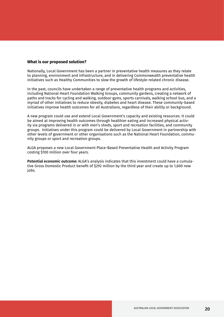Nationally, Local Government has been a partner in preventative health measures as they relate to planning, environment and infrastructure, and in delivering Commonwealth preventative health initiatives such as Healthy Communities to slow the growth of lifestyle-related chronic disease.

In the past, councils have undertaken a range of preventative health programs and activities, including National Heart Foundation Walking Groups, community gardens, creating a network of paths and tracks for cycling and walking, outdoor gyms, sports carnivals, walking school bus, and a myriad of other initiatives to reduce obesity, diabetes and heart disease. These community-based initiatives improve health outcomes for all Australians, regardless of their ability or background.

A new program could use and extend Local Government's capacity and existing resources. It could be aimed at improving health outcomes through healthier eating and increased physical activity via programs delivered in or with men's sheds, sport and recreation facilities, and community groups. Initiatives under this program could be delivered by Local Government in partnership with other levels of government or other organisations such as the National Heart Foundation, community groups or sport and recreation groups.

ALGA proposes a new Local Government Place-Based Preventative Health and Activity Program costing \$100 million over four years.

**Potential economic outcome:** ALGA's analysis indicates that this investment could have a cumulative Gross Domestic Product benefit of \$292 million by the third year and create up to 1,600 new jobs.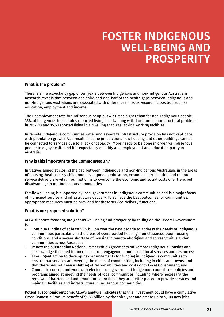# FOSTER INDIGENOUS WELL-BEING AND **PROSPERITY**

#### **What is the problem?**

There is a life expectancy gap of ten years between Indigenous and non-Indigenous Australians. Research reveals that between one-third and one-half of the health gaps between Indigenous and non-Indigenous Australians are associated with differences in socio-economic position such as education, employment and income.

The unemployment rate for Indigenous people is 4.2 times higher than for non-Indigenous people. 35% of Indigenous households reported living in a dwelling with 1 or more major structural problems in 2012–13 and 15% reported living in a dwelling that was lacking working facilities.

In remote Indigenous communities water and sewerage infrastructure provision has not kept pace with population growth. As a result, in some jurisdictions new housing and other buildings cannot be connected to services due to a lack of capacity. More needs to be done in order for Indigenous people to enjoy health and life-expectancy equality and employment and education parity in Australia.

#### **Why is this important to the Commonwealth?**

Initiatives aimed at closing the gap between Indigenous and non-Indigenous Australians in the areas of housing, health, early childhood development, education, economic participation and remote service delivery are vital if our nation is to overcome the economic and social costs of entrenched disadvantage in our Indigenous communities.

Family well-being is supported by local government in Indigenous communities and is a major focus of municipal service and infrastructure delivery. To achieve the best outcomes for communities, appropriate resources must be provided for these service-delivery functions.

#### **What is our proposed solution?**

ALGA supports fostering Indigenous well-being and prosperity by calling on the Federal Government to:

- Continue funding of at least \$5.5 billion over the next decade to address the needs of Indigenous communities particularly in the areas of overcrowded housing, homelessness, poor housing conditions, and a severe shortage of housing in remote Aboriginal and Torres Strait Islander communities across Australia;
- Renew the outstanding National Partnership Agreements on Remote Indigenous Housing and acknowledge the need for increased local engagement and use of local services and resources;
- Take urgent action to develop new arrangements for funding in Indigenous communities to ensure that services are meeting the needs of communities, including in cities and towns, and that there has not been a shifting of responsibilities and costs onto Local Government; and
- Commit to consult and work with elected local government Indigenous councils on policies and programs aimed at meeting the needs of local communities including, where necessary, the removal of barriers on land tenure for councils so they are better placed to provide services and maintain facilities and infrastructure in Indigenous communities.

**Potential economic outcome:** ALGA's analysis indicates that this investment could have a cumulative Gross Domestic Product benefit of \$1.66 billion by the third year and create up to 5,300 new jobs.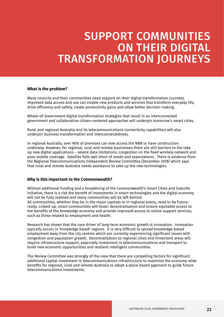# SUPPORT COMMUNITIES ON THEIR DIGITAL TRANSFORMATION JOURNEYS

#### **What is the problem?**

Many councils and their communities need support on their digital transformation journeys. Improved data access and use can enable new products and services that transform everyday life, drive efficiency and safety, create productivity gains and allow better decision making.

Whole-of-Government digital transformation strategies that result in an interconnected government and collaborative citizen-centered approaches will underpin tomorrow's smart cities.

Rural and regional Australia and its telecommunications connectivity capabilities will also underpin business transformation and interconnectedness.

In regional Australia, over 96% of premises can now access the NBN or have construction underway. However, for regional, rural and remote businesses there are still barriers to the take up new digital applications – severe data limitations, congestion on the fixed wireless network and poor mobile coverage. Satellite falls well short of needs and expectations. There is evidence from the Regional Telecommunications Independent Review Committee (December 2018) which says that rural and remote Australia needs assistance to take up the new technologies.

#### **Why is this important to the Commonwealth?**

Without additional funding and a broadening of the Commonwealth's Smart Cities and Suburbs initiative, there is a risk the benefit of investments in smart technologies and the digital economy will not be fully realised and many communities will be left behind. All communities, whether they be in the major capitals or in regional towns, need to be futureready. Linked-up, smart communities will foster decentralisation and ensure equitable access to the benefits of the knowledge economy and provide improved access to online support services, such as those related to employment and health.

Research has shown that the core driver of long-term economic growth is innovation. Innovation typically occurs in 'knowledge based' regions. It is very difficult to spread knowledge-based employment away from the city centres which are currently experiencing significant issues with congestion and population growth. Decentralisation to regional cities and hinterland areas will require infrastructure support, especially investment in telecommunications and transport to build new economic opportunities and resilient intelligent communities.

The Review Committee was strongly of the view that there are compelling factors for significant additional capital investment in telecommunications infrastructure to maximise the economy-wide benefits for regional, rural and remote Australia to adopt a place-based approach to guide future telecommunications investments.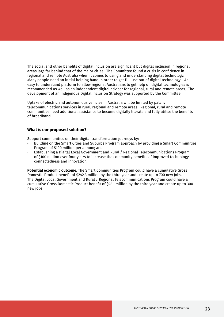The social and other benefits of digital inclusion are significant but digital inclusion in regional areas lags far behind that of the major cities. The Committee found a crisis in confidence in regional and remote Australia when it comes to using and understanding digital technology. Many people need an initial helping hand in order to get full use out of digital technology. An easy to understand platform to allow regional Australians to get help on digital technologies is recommended as well as an independent digital adviser for regional, rural and remote areas. The development of an Indigenous Digital Inclusion Strategy was supported by the Committee.

Uptake of electric and autonomous vehicles in Australia will be limited by patchy telecommunications services in rural, regional and remote areas. Regional, rural and remote communities need additional assistance to become digitally literate and fully utilise the benefits of broadband.

#### **What is our proposed solution?**

Support communities on their digital transformation journeys by:

- Building on the Smart Cities and Suburbs Program approach by providing a Smart Communities Program of \$100 million per annum; and
- Establishing a Digital Local Government and Rural / Regional Telecommunications Program of \$100 million over four years to increase the community benefits of improved technology, connectedness and innovation.

**Potential economic outcome:** The Smart Communities Program could have a cumulative Gross Domestic Product benefit of \$242.3 million by the third year and create up to 700 new jobs. The Digital Local Government and Rural / Regional Telecommunications Program could have a cumulative Gross Domestic Product benefit of \$98.1 million by the third year and create up to 300 new jobs.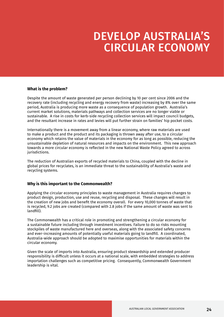### DEVELOP AUSTRALIA'S CIRCULAR ECONOMY

#### **What is the problem?**

Despite the amount of waste generated per person declining by 10 per cent since 2006 and the recovery rate (including recycling and energy recovery from waste) increasing by 8% over the same period, Australia is producing more waste as a consequence of population growth. Australia's current market solutions, materials pathways and collection services are no longer viable or sustainable. A rise in costs for kerb-side recycling collection services will impact council budgets, and the resultant increase in rates and levies will put further strain on families' hip pocket costs.

Internationally there is a movement away from a linear economy, where raw materials are used to make a product and the product and its packaging is thrown away after use, to a circular economy which retains the value of materials in the economy for as long as possible, reducing the unsustainable depletion of natural resources and impacts on the environment. This new approach towards a more circular economy is reflected in the new National Waste Policy agreed to across jurisdictions.

The reduction of Australian exports of recycled materials to China, coupled with the decline in global prices for recyclates, is an immediate threat to the sustainability of Australia's waste and recycling systems.

#### **Why is this important to the Commonwealth?**

Applying the circular economy principles to waste management in Australia requires changes to product design, production, use and reuse, recycling and disposal. These changes will result in the creation of new jobs and benefit the economy overall. For every 10,000 tonnes of waste that is recycled, 9.2 jobs are created (compared with 2.8 jobs if the same amount of waste was sent to landfill).

The Commonwealth has a critical role in promoting and strengthening a circular economy for a sustainable future including through investment incentives. Failure to do so risks mounting stockpiles of waste manufactured here and overseas, along with the associated safety concerns and ever-increasing amounts of potentially useful materials going to landfill. A coordinated, Australia-wide approach should be adopted to maximise opportunities for materials within the circular economy.

Given the scale of imports into Australia, ensuring product stewardship and extended producer responsibility is difficult unless it occurs at a national scale, with embedded strategies to address importation challenges such as competitive pricing. Consequently, Commonwealth Government leadership is vital.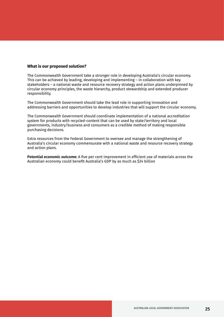The Commonwealth Government take a stronger role in developing Australia's circular economy. This can be achieved by leading, developing and implementing – in collaboration with key stakeholders – a national waste and resource recovery strategy and action plans underpinned by circular economy principles, the waste hierarchy, product stewardship and extended producer responsibility.

The Commonwealth Government should take the lead role in supporting innovation and addressing barriers and opportunities to develop industries that will support the circular economy.

The Commonwealth Government should coordinate implementation of a national accreditation system for products with recycled-content that can be used by state/territory and local governments, industry/business and consumers as a credible method of making responsible purchasing decisions.

Extra resources from the Federal Government to oversee and manage the strengthening of Australia's circular economy commensurate with a national waste and resource recovery strategy and action plans.

**Potential economic outcome:** A five per cent improvement in efficient use of materials across the Australian economy could benefit Australia's GDP by as much as \$24 billion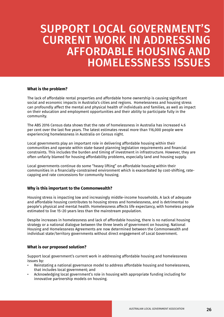### SUPPORT LOCAL GOVERNMENT'S CURRENT WORK IN ADDRESSING AFFORDABLE HOUSING AND HOMELESSNESS ISSUES

#### **What is the problem?**

The lack of affordable rental properties and affordable home ownership is causing significant social and economic impacts in Australia's cities and regions. Homelessness and housing stress can profoundly affect the mental and physical health of individuals and families, as well as impact on their education and employment opportunities and their ability to participate fully in the community.

The ABS 2016 Census data shows that the rate of homelessness in Australia has increased 4.6 per cent over the last five years. The latest estimates reveal more than 116,000 people were experiencing homelessness in Australia on Census night.

Local governments play an important role in delivering affordable housing within their communities and operate within state-based planning legislation requirements and financial constraints. This includes the burden and timing of investment in infrastructure. However, they are often unfairly blamed for housing affordability problems, especially land and housing supply.

Local governments continue do some "heavy lifting" on affordable housing within their communities in a financially-constrained environment which is exacerbated by cost-shifting, ratecapping and rate concessions for community housing.

#### **Why is this important to the Commonwealth?**

Housing stress is impacting low and increasingly middle-income households. A lack of adequate and affordable housing contributes to housing stress and homelessness, and is detrimental to people's physical and mental health. Homelessness affects life expectancy, with homeless people estimated to live 15–20 years less than the mainstream population.

Despite increases in homelessness and lack of affordable housing, there is no national housing strategy or a national dialogue between the three levels of government on housing. National Housing and Homelessness Agreements are now determined between the Commonwealth and individual state/territory governments without direct engagement of Local Government.

#### **What is our proposed solution?**

Support local government's current work in addressing affordable housing and homelessness issues by:

- Reinstating a national governance model to address affordable housing and homelessness, that includes local government; and
- Acknowledging local government's role in housing with appropriate funding including for innovative partnership models on housing.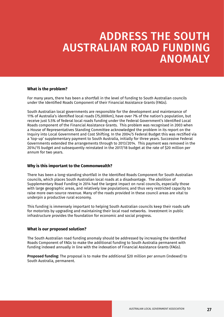# ADDRESS THE SOUTH AUSTRALIAN ROAD FUNDING ANOMALY

#### **What is the problem?**

For many years, there has been a shortfall in the level of funding to South Australian councils under the Identified Roads Component of their Financial Assistance Grants (FAGs).

South Australian local governments are responsible for the development and maintenance of 11% of Australia's identified local roads (75,000km), have over 7% of the nation's population, but receive just 5.5% of federal local roads funding under the Federal Government's Identified Local Roads component of the Financial Assistance Grants. This problem was recognised in 2003 when a House of Representatives Standing Committee acknowledged the problem in its report on the Inquiry into Local Government and Cost Shifting. In the 2004/5 Federal Budget this was rectified via a 'top-up' supplementary payment to South Australia, initially for three years. Successive Federal Governments extended the arrangements through to 2013/2014. This payment was removed in the 2014/15 budget and subsequently reinstated in the 2017/18 budget at the rate of \$20 million per annum for two years.

#### **Why is this important to the Commonwealth?**

There has been a long-standing shortfall in the Identified Roads Component for South Australian councils, which places South Australian local roads at a disadvantage. The abolition of Supplementary Road Funding in 2014 had the largest impact on rural councils, especially those with large geographic areas, and relatively low populations; and thus very restricted capacity to raise more own-source revenue. Many of the roads provided in these council areas are vital to underpin a productive rural economy.

This funding is immensely important to helping South Australian councils keep their roads safe for motorists by upgrading and maintaining their local road networks. Investment in public infrastructure provides the foundation for economic and social progress.

#### **What is our proposed solution?**

The South Australian road funding anomaly should be addressed by increasing the Identified Roads Component of FAGs to make the additional funding to South Australia permanent with funding indexed annually in line with the indexation of Financial Assistance Grants (FAGs).

**Proposed funding:** The proposal is to make the additional \$20 million per annum (indexed) to South Australia, permanent.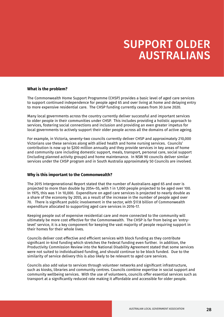# SUPPORT OLDER AUSTRALIANS

#### **What is the problem?**

The Commonwealth Home Support Programme (CHSP) provides a basic level of aged care services to support continued independence for people aged 65 and over living at home and delaying entry to more expensive residential care. The CHSP funding currently ceases from 30 June 2020.

Many local governments across the country currently deliver successful and important services to older people in their communities under CHSP. This includes providing a holistic approach to services, fostering social connections and inclusion and providing an even greater impetus for local governments to actively support their older people across all the domains of active ageing.

For example, in Victoria, seventy-two councils currently deliver CHSP and approximately 210,000 Victorians use these services along with allied health and home nursing services. Councils' contribution is now up to \$200 million annually and they provide services in key areas of home and community care including domestic support, meals, transport, personal care, social support (including planned activity groups) and home maintenance. In NSW 90 councils deliver similar services under the CHSP program and in South Australia approximately 50 Councils are involved.

#### **Why is this important to the Commonwealth?**

The 2015 Intergenerational Report stated that the number of Australians aged 65 and over is projected to more than double by 2054–55, with 1 in 1,000 people projected to be aged over 100. In 1975, this was 1 in 10,000. Expenditure on aged care services is projected to nearly double as a share of the economy by 2055, as a result of the increase in the number of people aged over 70. There is significant public involvement in the sector, with \$17.8 billion of Commonwealth expenditure allocated to supporting aged care services in 2016-17.

Keeping people out of expensive residential care and more connected to the community will ultimately be more cost effective for the Commonwealth. The CHSP is far from being an 'entrylevel' service, it is a key component for keeping the vast majority of people requiring support in their homes for their whole lives.

Councils deliver cost effective and efficient services with block funding as they contribute significant in-kind funding which stretches the Federal funding even further. In addition, the Productivity Commission Review into the National Disability Agreement stated that some services were not suited to individualised funding, and should continue to be block funded. Due to the similarity of service delivery this is also likely to be relevant to aged care services.

Councils also add value to services through volunteer networks and significant infrastructure, such as kiosks, libraries and community centres. Councils combine expertise in social support and community wellbeing services. With the use of volunteers, councils offer essential services such as transport at a significantly reduced rate making it affordable and accessible for older people.